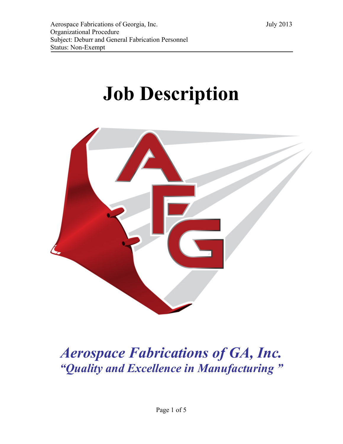# **Job Description**



# *Aerospace Fabrications of GA, Inc. "Quality and Excellence in Manufacturing "*

Page 1 of 5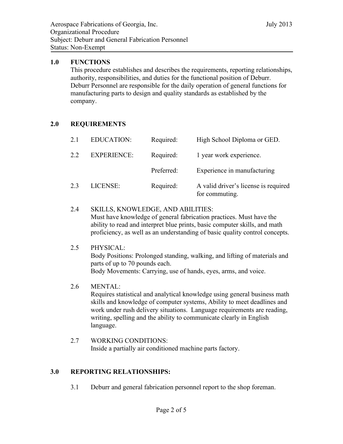#### **1.0 FUNCTIONS**

This procedure establishes and describes the requirements, reporting relationships, authority, responsibilities, and duties for the functional position of Deburr. Deburr Personnel are responsible for the daily operation of general functions for manufacturing parts to design and quality standards as established by the company.

## **2.0 REQUIREMENTS**

| 2.1 | <b>EDUCATION:</b>  | Required:  | High School Diploma or GED.                            |
|-----|--------------------|------------|--------------------------------------------------------|
| 2.2 | <b>EXPERIENCE:</b> | Required:  | 1 year work experience.                                |
|     |                    | Preferred: | Experience in manufacturing                            |
| 2.3 | LICENSE:           | Required:  | A valid driver's license is required<br>for commuting. |

- 2.4 SKILLS, KNOWLEDGE, AND ABILITIES: Must have knowledge of general fabrication practices. Must have the ability to read and interpret blue prints, basic computer skills, and math proficiency, as well as an understanding of basic quality control concepts.
- 2.5 PHYSICAL: Body Positions: Prolonged standing, walking, and lifting of materials and parts of up to 70 pounds each. Body Movements: Carrying, use of hands, eyes, arms, and voice.
- 2.6 MENTAL:

Requires statistical and analytical knowledge using general business math skills and knowledge of computer systems, Ability to meet deadlines and work under rush delivery situations. Language requirements are reading, writing, spelling and the ability to communicate clearly in English language.

2.7 WORKING CONDITIONS: Inside a partially air conditioned machine parts factory.

#### **3.0 REPORTING RELATIONSHIPS:**

3.1 Deburr and general fabrication personnel report to the shop foreman.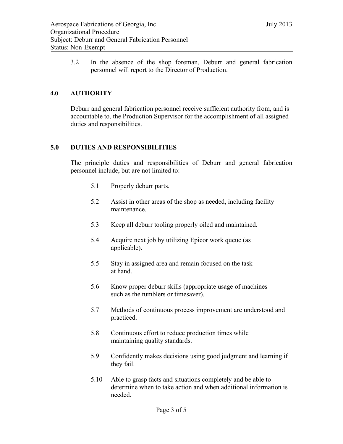3.2 In the absence of the shop foreman, Deburr and general fabrication personnel will report to the Director of Production.

# **4.0 AUTHORITY**

Deburr and general fabrication personnel receive sufficient authority from, and is accountable to, the Production Supervisor for the accomplishment of all assigned duties and responsibilities.

## **5.0 DUTIES AND RESPONSIBILITIES**

The principle duties and responsibilities of Deburr and general fabrication personnel include, but are not limited to:

- 5.1 Properly deburr parts.
- 5.2 Assist in other areas of the shop as needed, including facility maintenance.
- 5.3 Keep all deburr tooling properly oiled and maintained.
- 5.4 Acquire next job by utilizing Epicor work queue (as applicable).
- 5.5 Stay in assigned area and remain focused on the task at hand.
- 5.6 Know proper deburr skills (appropriate usage of machines such as the tumblers or timesaver).
- 5.7 Methods of continuous process improvement are understood and practiced.
- 5.8 Continuous effort to reduce production times while maintaining quality standards.
- 5.9 Confidently makes decisions using good judgment and learning if they fail.
- 5.10 Able to grasp facts and situations completely and be able to determine when to take action and when additional information is needed.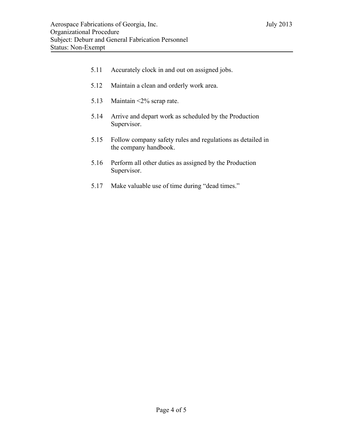- 5.11 Accurately clock in and out on assigned jobs.
- 5.12 Maintain a clean and orderly work area.
- 5.13 Maintain <2% scrap rate.
- 5.14 Arrive and depart work as scheduled by the Production Supervisor.
- 5.15 Follow company safety rules and regulations as detailed in the company handbook.
- 5.16 Perform all other duties as assigned by the Production Supervisor.
- 5.17 Make valuable use of time during "dead times."